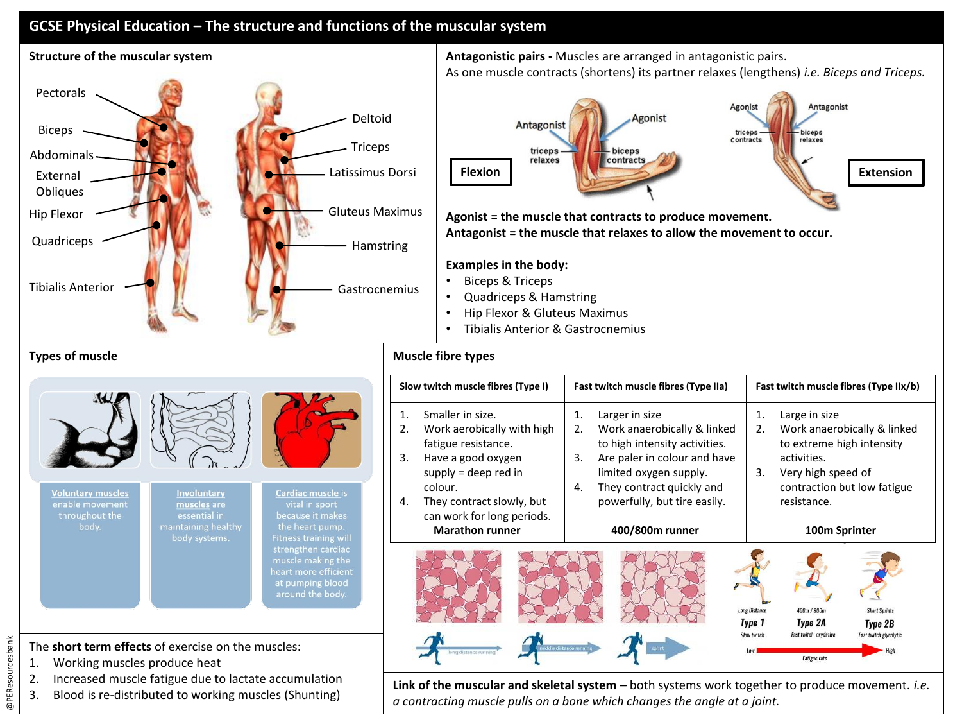## **GCSE Physical Education – The structure and functions of the muscular system**



As one muscle contracts (shortens) its partner relaxes (lengthens) *i.e. Biceps and Triceps.*



**Agonist = the muscle that contracts to produce movement. Antagonist = the muscle that relaxes to allow the movement to occur.** 

## **Examples in the body:**

- Biceps & Triceps
- Quadriceps & Hamstring
- Hip Flexor & Gluteus Maximus
- Tibialis Anterior & Gastrocnemius

|                                                                                                                                                                                                                       |                                                                                    |                                                                                                                                                                                                                       | 3. | Slow twitch muscle fibres (Type I)<br>Smaller in size.<br>Work aerobically with high<br>fatigue resistance.<br>Have a good oxygen<br>$supply = deep red in$ | Fast twitch muscle fibres (Type IIa)<br>Larger in size<br>1.<br>2.<br>Work anaerobically & linked<br>to high intensity activities.<br>Are paler in colour and have<br>3.<br>limited oxygen supply. | Fast twitch muscle fibres (Type IIx/b)<br>Large in size<br>1.<br>Work anaerobically & linked<br>2.<br>to extreme high intensity<br>activities.<br>Very high speed of<br>3. |                                                                                                                          |
|-----------------------------------------------------------------------------------------------------------------------------------------------------------------------------------------------------------------------|------------------------------------------------------------------------------------|-----------------------------------------------------------------------------------------------------------------------------------------------------------------------------------------------------------------------|----|-------------------------------------------------------------------------------------------------------------------------------------------------------------|----------------------------------------------------------------------------------------------------------------------------------------------------------------------------------------------------|----------------------------------------------------------------------------------------------------------------------------------------------------------------------------|--------------------------------------------------------------------------------------------------------------------------|
| <b>Voluntary muscles</b><br>enable movement<br>throughout the<br>body.                                                                                                                                                | Involuntary<br>muscles are<br>essential in<br>maintaining healthy<br>body systems. | Cardiac muscle is<br>vital in sport<br>because it makes<br>the heart pump.<br><b>Fitness training will</b><br>strengthen cardiac<br>muscle making the<br>heart more efficient<br>at pumping blood<br>around the body. | 4. | colour.<br>They contract slowly, but<br>can work for long periods.<br><b>Marathon runner</b>                                                                | They contract quickly and<br>4.<br>powerfully, but tire easily.<br>400/800m runner                                                                                                                 | <b>Long Distance</b><br>Type 1                                                                                                                                             | contraction but low fatigue<br>resistance.<br>100m Sprinter<br>400m / 800m<br><b>Short Sprints</b><br>Type 2A<br>Type 2B |
| The short term effects of exercise on the muscles:<br>Working muscles produce heat<br>1.<br>Increased muscle fatigue due to lactate accumulation<br>2.<br>Blood is re-distributed to working muscles (Shunting)<br>3. |                                                                                    |                                                                                                                                                                                                                       |    | long distance running                                                                                                                                       | Link of the muscular and skeletal system - both systems work together to produce movement. i.e.<br>a contracting muscle pulls on a bone which changes the angle at a joint.                        | Slow twitc                                                                                                                                                                 | Fast twitch oxydative<br>Fast twitch glycolyti<br><b>Fatigue</b> rate                                                    |

- The **short term effects** of exercise on the muscles:
- 1. Working muscles produce heat
- 2. Increased muscle fatigue due to lactate accumulation
- 3. Blood is re-distributed to working muscles (Shunting)